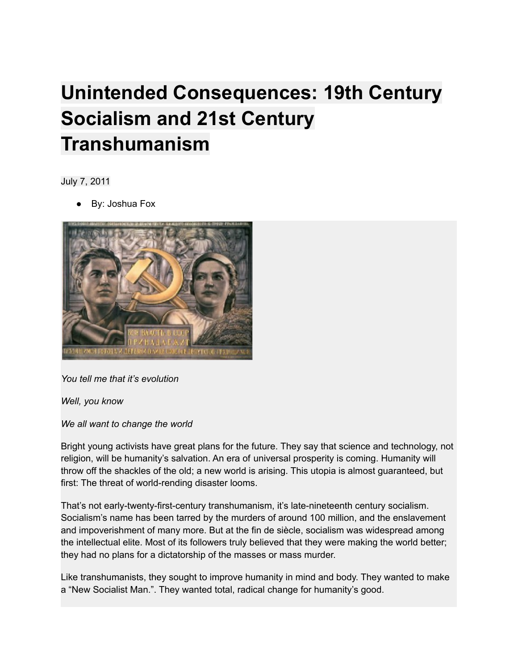## **Unintended Consequences: 19th Century Socialism and 21st Century Transhumanism**

July 7, 2011

By: Joshua Fox



*You tell me that it's evolution*

*Well, you know*

*We all want to change the world*

Bright young activists have great plans for the future. They say that science and technology, not religion, will be humanity's salvation. An era of universal prosperity is coming. Humanity will throw off the shackles of the old; a new world is arising. This utopia is almost guaranteed, but first: The threat of world-rending disaster looms.

That's not early-twenty-first-century transhumanism, it's late-nineteenth century socialism. Socialism's name has been tarred by the murders of around 100 million, and the enslavement and impoverishment of many more. But at the fin de siècle, socialism was widespread among the intellectual elite. Most of its followers truly believed that they were making the world better; they had no plans for a dictatorship of the masses or mass murder.

Like transhumanists, they sought to improve humanity in mind and body. They wanted to make a "New Socialist Man.". They wanted total, radical change for humanity's good.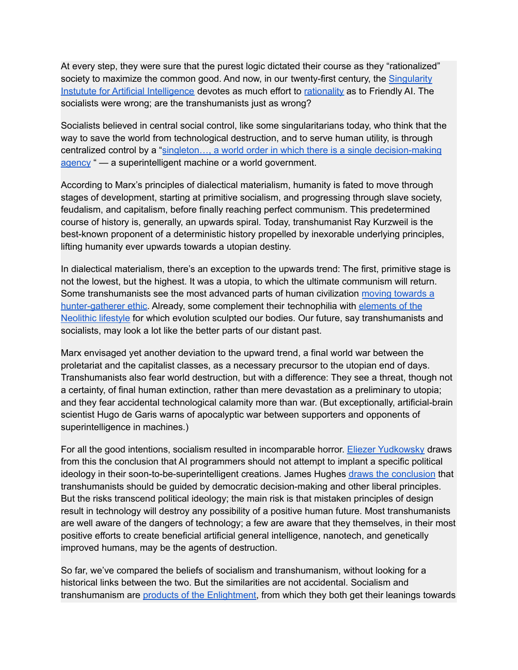At every step, they were sure that the purest logic dictated their course as they "rationalized" society to maximize the common good. And now, in our twenty-first century, the [Singularity](http://singinst.org/) Instutute for Artificial [Intelligence](http://singinst.org/) devotes as much effort to [rationality](http://lesswrong.com/) as to Friendly AI. The socialists were wrong; are the transhumanists just as wrong?

Socialists believed in central social control, like some singularitarians today, who think that the way to save the world from technological destruction, and to serve human utility, is through centralized control by a "singleton..., a world order in which there is a single [decision-making](http://www.nickbostrom.com/fut/singleton.html) [agency](http://www.nickbostrom.com/fut/singleton.html) " — a superintelligent machine or a world government.

According to Marx's principles of dialectical materialism, humanity is fated to move through stages of development, starting at primitive socialism, and progressing through slave society, feudalism, and capitalism, before finally reaching perfect communism. This predetermined course of history is, generally, an upwards spiral. Today, transhumanist Ray Kurzweil is the best-known proponent of a deterministic history propelled by inexorable underlying principles, lifting humanity ever upwards towards a utopian destiny.

In dialectical materialism, there's an exception to the upwards trend: The first, primitive stage is not the lowest, but the highest. It was a utopia, to which the ultimate communism will return. Some transhumanists see the most advanced parts of human civilization moving [towards](http://www.overcomingbias.com/tag/forager) a [hunter-gatherer](http://www.overcomingbias.com/tag/forager) ethic. Already, some complement their technophilia with [elements](http://hplusmagazine.com/2011/06/14/primal-transhumanism/) of the [Neolithic](http://hplusmagazine.com/2011/06/14/primal-transhumanism/) lifestyle for which evolution sculpted our bodies. Our future, say transhumanists and socialists, may look a lot like the better parts of our distant past.

Marx envisaged yet another deviation to the upward trend, a final world war between the proletariat and the capitalist classes, as a necessary precursor to the utopian end of days. Transhumanists also fear world destruction, but with a difference: They see a threat, though not a certainty, of final human extinction, rather than mere devastation as a preliminary to utopia; and they fear accidental technological calamity more than war. (But exceptionally, artificial-brain scientist Hugo de Garis warns of apocalyptic war between supporters and opponents of superintelligence in machines.)

For all the good intentions, socialism resulted in incomparable horror. Eliezer [Yudkowsky](http://singinst.org/upload/artificial-intelligence-risk.pdf) draws from this the conclusion that AI programmers should not attempt to implant a specific political ideology in their soon-to-be-superintelligent creations. James Hughes draws the [conclusion](http://ieet.org/index.php/IEET/print/3670) that transhumanists should be guided by democratic decision-making and other liberal principles. But the risks transcend political ideology; the main risk is that mistaken principles of design result in technology will destroy any possibility of a positive human future. Most transhumanists are well aware of the dangers of technology; a few are aware that they themselves, in their most positive efforts to create beneficial artificial general intelligence, nanotech, and genetically improved humans, may be the agents of destruction.

So far, we've compared the beliefs of socialism and transhumanism, without looking for a historical links between the two. But the similarities are not accidental. Socialism and transhumanism are products of the [Enlightment,](http://ieet.org/index.php/IEET/print/3670) from which they both get their leanings towards